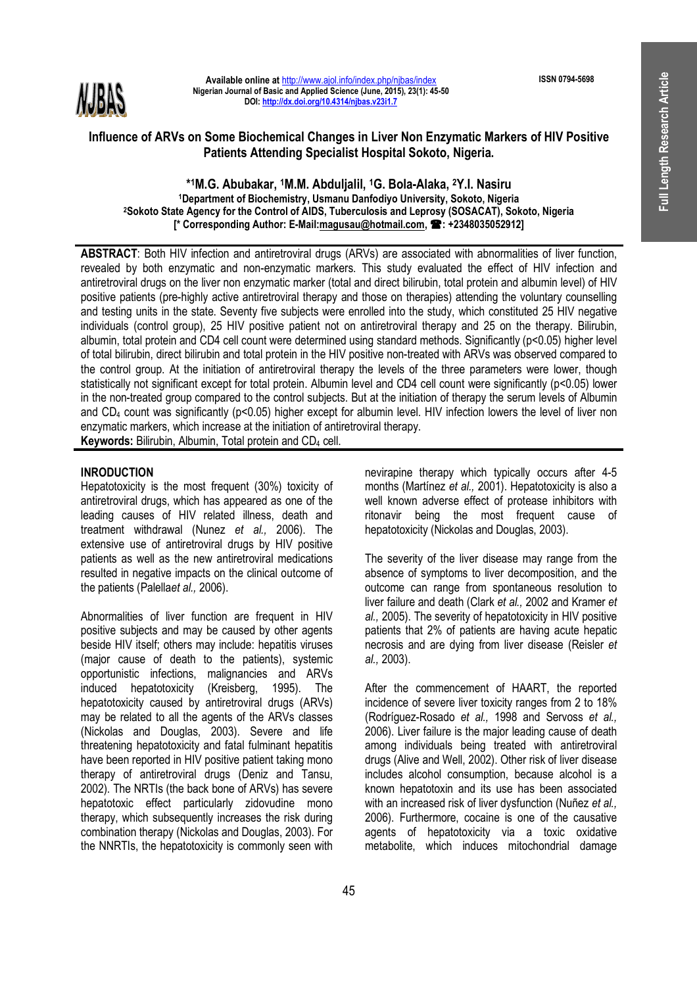**ISSN 0794-5698** 



**Available online at** http://www.ajol.info/index.php/njbas/index **Nigerian Journal of Basic and Applied Science (June, 2015), 23(1): 45-50 DOI: http://dx.doi.org/10.4314/njbas.v23i1.7**

# **Influence of ARVs on Some Biochemical Changes in Liver Non Enzymatic Markers of HIV Positive Patients Attending Specialist Hospital Sokoto, Nigeria.**

#### **\* <sup>1</sup>M.G. Abubakar, 1M.M. Abduljalil, 1G. Bola-Alaka, 2Y.I. Nasiru <sup>1</sup>Department of Biochemistry, Usmanu Danfodiyo University, Sokoto, Nigeria <sup>2</sup>Sokoto State Agency for the Control of AIDS, Tuberculosis and Leprosy (SOSACAT), Sokoto, Nigeria [\* Corresponding Author: E-Mail:magusau@hotmail.com, : +2348035052912]**

**ABSTRACT**: Both HIV infection and antiretroviral drugs (ARVs) are associated with abnormalities of liver function, revealed by both enzymatic and non-enzymatic markers. This study evaluated the effect of HIV infection and antiretroviral drugs on the liver non enzymatic marker (total and direct bilirubin, total protein and albumin level) of HIV positive patients (pre-highly active antiretroviral therapy and those on therapies) attending the voluntary counselling and testing units in the state. Seventy five subjects were enrolled into the study, which constituted 25 HIV negative individuals (control group), 25 HIV positive patient not on antiretroviral therapy and 25 on the therapy. Bilirubin, albumin, total protein and CD4 cell count were determined using standard methods. Significantly (p<0.05) higher level of total bilirubin, direct bilirubin and total protein in the HIV positive non-treated with ARVs was observed compared to the control group. At the initiation of antiretroviral therapy the levels of the three parameters were lower, though statistically not significant except for total protein. Albumin level and CD4 cell count were significantly (p<0.05) lower in the non-treated group compared to the control subjects. But at the initiation of therapy the serum levels of Albumin and CD<sub>4</sub> count was significantly (p<0.05) higher except for albumin level. HIV infection lowers the level of liver non enzymatic markers, which increase at the initiation of antiretroviral therapy.

**Keywords:** Bilirubin, Albumin, Total protein and CD4 cell.

## **INRODUCTION**

Hepatotoxicity is the most frequent (30%) toxicity of antiretroviral drugs, which has appeared as one of the leading causes of HIV related illness, death and treatment withdrawal (Nunez *et al.,* 2006). The extensive use of antiretroviral drugs by HIV positive patients as well as the new antiretroviral medications resulted in negative impacts on the clinical outcome of the patients (Palella*et al.,* 2006).

Abnormalities of liver function are frequent in HIV positive subjects and may be caused by other agents beside HIV itself; others may include: hepatitis viruses (major cause of death to the patients), systemic opportunistic infections, malignancies and ARVs induced hepatotoxicity (Kreisberg, 1995). The hepatotoxicity caused by antiretroviral drugs (ARVs) may be related to all the agents of the ARVs classes (Nickolas and Douglas, 2003). Severe and life threatening hepatotoxicity and fatal fulminant hepatitis have been reported in HIV positive patient taking mono therapy of antiretroviral drugs (Deniz and Tansu, 2002). The NRTIs (the back bone of ARVs) has severe hepatotoxic effect particularly zidovudine mono therapy, which subsequently increases the risk during combination therapy (Nickolas and Douglas, 2003). For the NNRTIs, the hepatotoxicity is commonly seen with

nevirapine therapy which typically occurs after 4-5 months (Martínez *et al.,* 2001). Hepatotoxicity is also a well known adverse effect of protease inhibitors with ritonavir being the most frequent cause of hepatotoxicity (Nickolas and Douglas, 2003).

The severity of the liver disease may range from the absence of symptoms to liver decomposition, and the outcome can range from spontaneous resolution to liver failure and death (Clark *et al.,* 2002 and Kramer *et al.,* 2005). The severity of hepatotoxicity in HIV positive patients that 2% of patients are having acute hepatic necrosis and are dying from liver disease (Reisler *et al.,* 2003).

After the commencement of HAART, the reported incidence of severe liver toxicity ranges from 2 to 18% (Rodríguez-Rosado *et al.,* 1998 and Servoss *et al.,*  2006). Liver failure is the major leading cause of death among individuals being treated with antiretroviral drugs (Alive and Well, 2002). Other risk of liver disease includes alcohol consumption, because alcohol is a known hepatotoxin and its use has been associated with an increased risk of liver dysfunction (Nuñez *et al.,* 2006). Furthermore, cocaine is one of the causative agents of hepatotoxicity via a toxic oxidative metabolite, which induces mitochondrial damage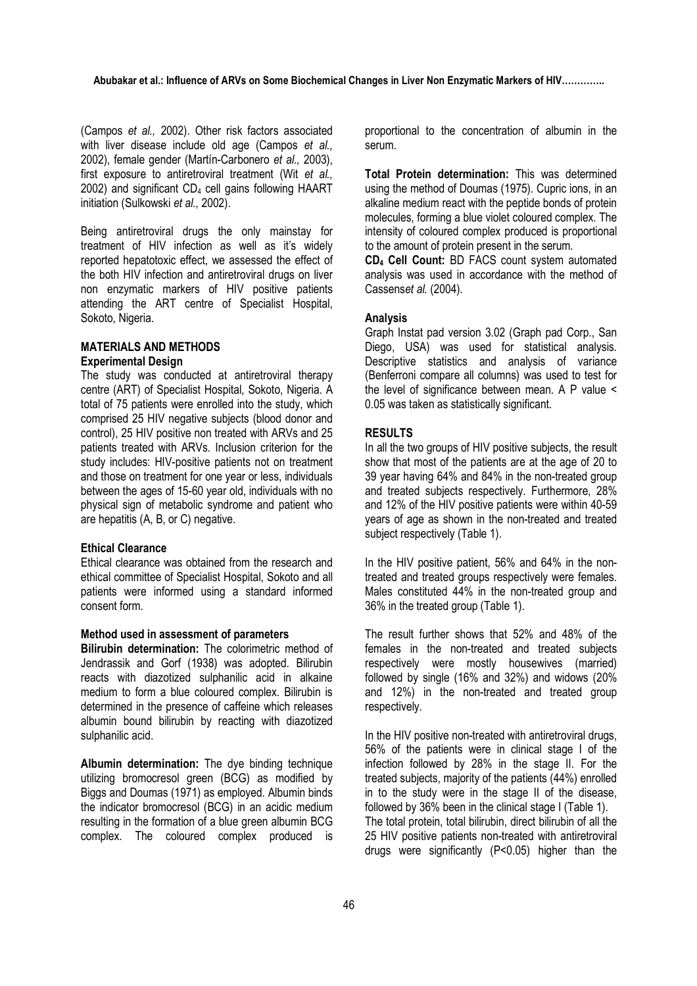(Campos *et al.,* 2002). Other risk factors associated with liver disease include old age (Campos *et al.,*  2002), female gender (Martín-Carbonero *et al.,* 2003), first exposure to antiretroviral treatment (Wit *et al.,*  2002) and significant CD<sub>4</sub> cell gains following HAART initiation (Sulkowski *et al.,* 2002).

Being antiretroviral drugs the only mainstay for treatment of HIV infection as well as it's widely reported hepatotoxic effect, we assessed the effect of the both HIV infection and antiretroviral drugs on liver non enzymatic markers of HIV positive patients attending the ART centre of Specialist Hospital, Sokoto, Nigeria.

## **MATERIALS AND METHODS Experimental Design**

The study was conducted at antiretroviral therapy centre (ART) of Specialist Hospital, Sokoto, Nigeria. A total of 75 patients were enrolled into the study, which comprised 25 HIV negative subjects (blood donor and control), 25 HIV positive non treated with ARVs and 25 patients treated with ARVs. Inclusion criterion for the study includes: HIV-positive patients not on treatment and those on treatment for one year or less, individuals between the ages of 15-60 year old, individuals with no physical sign of metabolic syndrome and patient who are hepatitis (A, B, or C) negative.

## **Ethical Clearance**

Ethical clearance was obtained from the research and ethical committee of Specialist Hospital, Sokoto and all patients were informed using a standard informed consent form.

## **Method used in assessment of parameters**

**Bilirubin determination:** The colorimetric method of Jendrassik and Gorf (1938) was adopted. Bilirubin reacts with diazotized sulphanilic acid in alkaine medium to form a blue coloured complex. Bilirubin is determined in the presence of caffeine which releases albumin bound bilirubin by reacting with diazotized sulphanilic acid.

**Albumin determination:** The dye binding technique utilizing bromocresol green (BCG) as modified by Biggs and Doumas (1971) as employed. Albumin binds the indicator bromocresol (BCG) in an acidic medium resulting in the formation of a blue green albumin BCG complex. The coloured complex produced is

proportional to the concentration of albumin in the serum.

**Total Protein determination:** This was determined using the method of Doumas (1975). Cupric ions, in an alkaline medium react with the peptide bonds of protein molecules, forming a blue violet coloured complex. The intensity of coloured complex produced is proportional to the amount of protein present in the serum.

**CD4 Cell Count:** BD FACS count system automated analysis was used in accordance with the method of Cassens*et al.* (2004).

#### **Analysis**

Graph Instat pad version 3.02 (Graph pad Corp., San Diego, USA) was used for statistical analysis. Descriptive statistics and analysis of variance (Benferroni compare all columns) was used to test for the level of significance between mean. A P value < 0.05 was taken as statistically significant.

#### **RESULTS**

In all the two groups of HIV positive subjects, the result show that most of the patients are at the age of 20 to 39 year having 64% and 84% in the non-treated group and treated subjects respectively. Furthermore, 28% and 12% of the HIV positive patients were within 40-59 years of age as shown in the non-treated and treated subject respectively (Table 1).

In the HIV positive patient, 56% and 64% in the nontreated and treated groups respectively were females. Males constituted 44% in the non-treated group and 36% in the treated group (Table 1).

The result further shows that 52% and 48% of the females in the non-treated and treated subjects respectively were mostly housewives (married) followed by single (16% and 32%) and widows (20% and 12%) in the non-treated and treated group respectively.

In the HIV positive non-treated with antiretroviral drugs, 56% of the patients were in clinical stage I of the infection followed by 28% in the stage II. For the treated subjects, majority of the patients (44%) enrolled in to the study were in the stage II of the disease, followed by 36% been in the clinical stage I (Table 1). The total protein, total bilirubin, direct bilirubin of all the 25 HIV positive patients non-treated with antiretroviral drugs were significantly (P<0.05) higher than the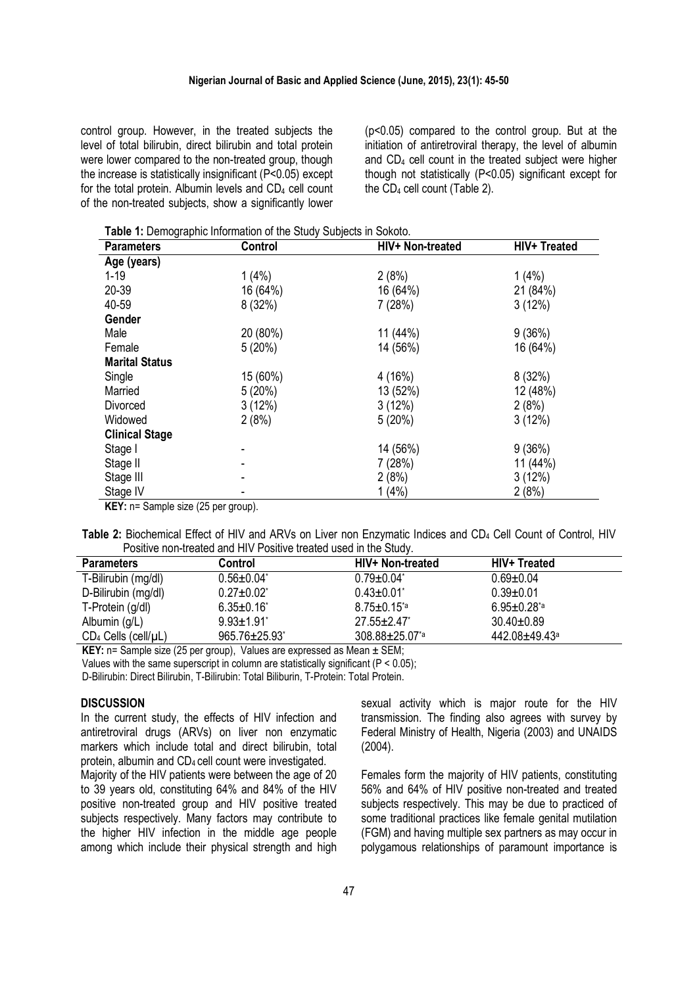control group. However, in the treated subjects the level of total bilirubin, direct bilirubin and total protein were lower compared to the non-treated group, though the increase is statistically insignificant (P<0.05) except for the total protein. Albumin levels and CD<sub>4</sub> cell count of the non-treated subjects, show a significantly lower

(p<0.05) compared to the control group. But at the initiation of antiretroviral therapy, the level of albumin and CD4 cell count in the treated subject were higher though not statistically (P<0.05) significant except for the  $CD_4$  cell count (Table 2).

**Table 1:** Demographic Information of the Study Subjects in Sokoto.

| <b>Parameters</b>                                         | Control  | HIV+ Non-treated | HIV+ Treated |
|-----------------------------------------------------------|----------|------------------|--------------|
| Age (years)                                               |          |                  |              |
| $1 - 19$                                                  | 1(4%)    | 2(8%)            | 1(4%)        |
| 20-39                                                     | 16 (64%) | 16 (64%)         | 21 (84%)     |
| 40-59                                                     | 8(32%)   | 7(28%)           | 3(12%)       |
| Gender                                                    |          |                  |              |
| Male                                                      | 20 (80%) | 11 (44%)         | 9(36%)       |
| Female                                                    | 5(20%)   | 14 (56%)         | 16 (64%)     |
| <b>Marital Status</b>                                     |          |                  |              |
| Single                                                    | 15 (60%) | 4 (16%)          | 8(32%)       |
| Married                                                   | 5(20%)   | 13 (52%)         | 12 (48%)     |
| Divorced                                                  | 3(12%)   | 3(12%)           | 2(8%)        |
| Widowed                                                   | 2(8%)    | 5(20%)           | 3(12%)       |
| <b>Clinical Stage</b>                                     |          |                  |              |
| Stage I                                                   |          | 14 (56%)         | 9(36%)       |
| Stage II                                                  |          | 7(28%)           | 11(44%)      |
| Stage III                                                 |          | 2(8%)            | 3(12%)       |
| Stage IV                                                  |          | 1(4%)            | 2(8%)        |
| $\mathbf{V}$ EV <sub>LD</sub> - Comple out (25 nor aroun) |          |                  |              |

**KEY:** n= Sample size (25 per group).

**Table 2:** Biochemical Effect of HIV and ARVs on Liver non Enzymatic Indices and CD<sup>4</sup> Cell Count of Control, HIV Positive non-treated and HIV Positive treated used in the Study.

| <b>Parameters</b>            | Control            | HIV+ Non-treated              | <b>HIV+ Treated</b> |
|------------------------------|--------------------|-------------------------------|---------------------|
| T-Bilirubin (mg/dl)          | $0.56 \pm 0.04^*$  | $0.79 \pm 0.04^*$             | $0.69 + 0.04$       |
| D-Bilirubin (mg/dl)          | $0.27 \pm 0.02^*$  | $0.43 \pm 0.01^*$             | $0.39 + 0.01$       |
| T-Protein (g/dl)             | $6.35 \pm 0.16$    | $8.75 \pm 0.15$ <sup>*a</sup> | $6.95 \pm 0.28$ *a  |
| Albumin (g/L)                | $9.93 \pm 1.91$    | $27.55 \pm 2.47$              | $30.40 \pm 0.89$    |
| $CD_4$ Cells (cell/ $\mu$ L) | $965.76 \pm 25.93$ | 308.88±25.07 <sup>*a</sup>    | 442.08±49.43ª       |

**KEY:** n= Sample size (25 per group). Values are expressed as Mean ± SEM:

Values with the same superscript in column are statistically significant (P < 0.05);

D-Bilirubin: Direct Bilirubin, T-Bilirubin: Total Biliburin, T-Protein: Total Protein.

#### **DISCUSSION**

In the current study, the effects of HIV infection and antiretroviral drugs (ARVs) on liver non enzymatic markers which include total and direct bilirubin, total protein, albumin and CD<sub>4</sub> cell count were investigated.

Majority of the HIV patients were between the age of 20 to 39 years old, constituting 64% and 84% of the HIV positive non-treated group and HIV positive treated subjects respectively. Many factors may contribute to the higher HIV infection in the middle age people among which include their physical strength and high

sexual activity which is major route for the HIV transmission. The finding also agrees with survey by Federal Ministry of Health, Nigeria (2003) and UNAIDS (2004).

Females form the majority of HIV patients, constituting 56% and 64% of HIV positive non-treated and treated subjects respectively. This may be due to practiced of some traditional practices like female genital mutilation (FGM) and having multiple sex partners as may occur in polygamous relationships of paramount importance is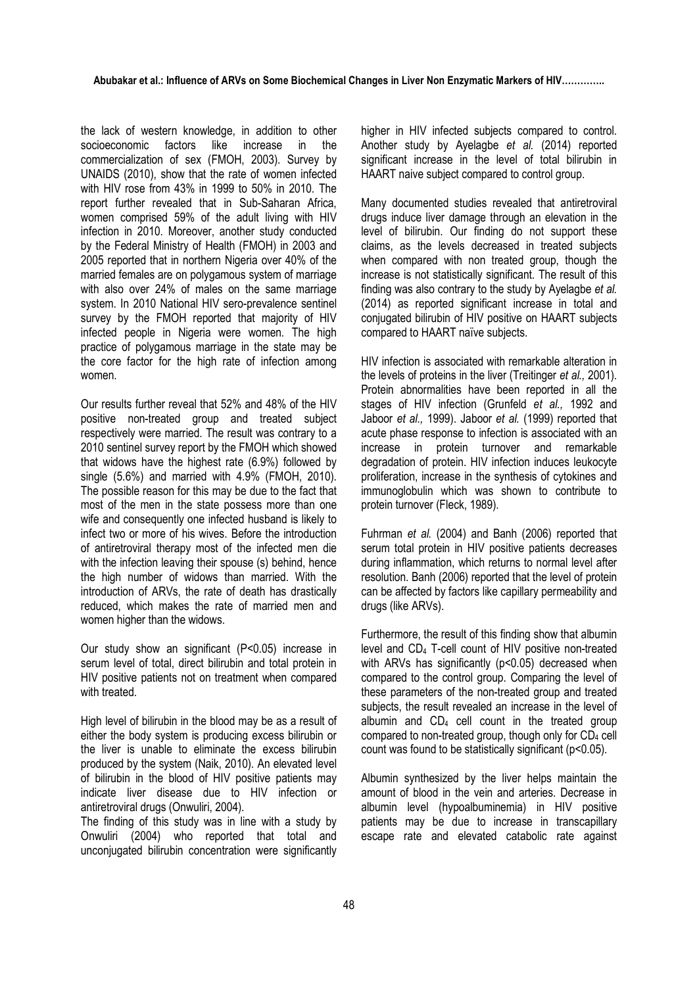the lack of western knowledge, in addition to other socioeconomic factors like increase in the commercialization of sex (FMOH, 2003). Survey by UNAIDS (2010), show that the rate of women infected with HIV rose from 43% in 1999 to 50% in 2010. The report further revealed that in Sub-Saharan Africa, women comprised 59% of the adult living with HIV infection in 2010. Moreover, another study conducted by the Federal Ministry of Health (FMOH) in 2003 and 2005 reported that in northern Nigeria over 40% of the married females are on polygamous system of marriage with also over 24% of males on the same marriage system. In 2010 National HIV sero-prevalence sentinel survey by the FMOH reported that majority of HIV infected people in Nigeria were women. The high practice of polygamous marriage in the state may be the core factor for the high rate of infection among women.

Our results further reveal that 52% and 48% of the HIV positive non-treated group and treated subject respectively were married. The result was contrary to a 2010 sentinel survey report by the FMOH which showed that widows have the highest rate (6.9%) followed by single (5.6%) and married with 4.9% (FMOH, 2010). The possible reason for this may be due to the fact that most of the men in the state possess more than one wife and consequently one infected husband is likely to infect two or more of his wives. Before the introduction of antiretroviral therapy most of the infected men die with the infection leaving their spouse (s) behind, hence the high number of widows than married. With the introduction of ARVs, the rate of death has drastically reduced, which makes the rate of married men and women higher than the widows.

Our study show an significant (P<0.05) increase in serum level of total, direct bilirubin and total protein in HIV positive patients not on treatment when compared with treated.

High level of bilirubin in the blood may be as a result of either the body system is producing excess bilirubin or the liver is unable to eliminate the excess bilirubin produced by the system (Naik, 2010). An elevated level of bilirubin in the blood of HIV positive patients may indicate liver disease due to HIV infection or antiretroviral drugs (Onwuliri, 2004).

The finding of this study was in line with a study by Onwuliri (2004) who reported that total and unconjugated bilirubin concentration were significantly

higher in HIV infected subjects compared to control. Another study by Ayelagbe *et al.* (2014) reported significant increase in the level of total bilirubin in HAART naive subject compared to control group.

Many documented studies revealed that antiretroviral drugs induce liver damage through an elevation in the level of bilirubin. Our finding do not support these claims, as the levels decreased in treated subjects when compared with non treated group, though the increase is not statistically significant. The result of this finding was also contrary to the study by Ayelagbe *et al.*  (2014) as reported significant increase in total and conjugated bilirubin of HIV positive on HAART subjects compared to HAART naïve subjects.

HIV infection is associated with remarkable alteration in the levels of proteins in the liver (Treitinger *et al.,* 2001). Protein abnormalities have been reported in all the stages of HIV infection (Grunfeld *et al.,* 1992 and Jaboor *et al.,* 1999). Jaboor *et al.* (1999) reported that acute phase response to infection is associated with an increase in protein turnover and remarkable degradation of protein. HIV infection induces leukocyte proliferation, increase in the synthesis of cytokines and immunoglobulin which was shown to contribute to protein turnover (Fleck, 1989).

Fuhrman *et al.* (2004) and Banh (2006) reported that serum total protein in HIV positive patients decreases during inflammation, which returns to normal level after resolution. Banh (2006) reported that the level of protein can be affected by factors like capillary permeability and drugs (like ARVs).

Furthermore, the result of this finding show that albumin level and CD4 T-cell count of HIV positive non-treated with ARVs has significantly (p<0.05) decreased when compared to the control group. Comparing the level of these parameters of the non-treated group and treated subjects, the result revealed an increase in the level of albumin and  $CD_4$  cell count in the treated group compared to non-treated group, though only for CD4 cell count was found to be statistically significant (p<0.05).

Albumin synthesized by the liver helps maintain the amount of blood in the vein and arteries. Decrease in albumin level (hypoalbuminemia) in HIV positive patients may be due to increase in transcapillary escape rate and elevated catabolic rate against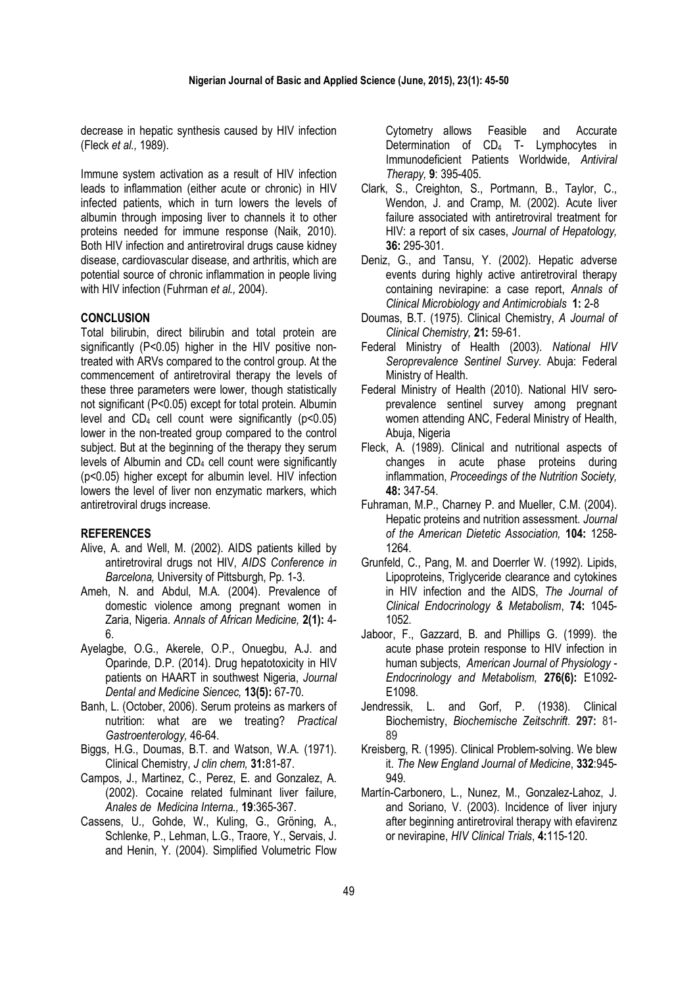decrease in hepatic synthesis caused by HIV infection (Fleck *et al.,* 1989).

Immune system activation as a result of HIV infection leads to inflammation (either acute or chronic) in HIV infected patients, which in turn lowers the levels of albumin through imposing liver to channels it to other proteins needed for immune response (Naik, 2010). Both HIV infection and antiretroviral drugs cause kidney disease, cardiovascular disease, and arthritis, which are potential source of chronic inflammation in people living with HIV infection (Fuhrman *et al.,* 2004).

## **CONCLUSION**

Total bilirubin, direct bilirubin and total protein are significantly (P<0.05) higher in the HIV positive nontreated with ARVs compared to the control group. At the commencement of antiretroviral therapy the levels of these three parameters were lower, though statistically not significant (P<0.05) except for total protein. Albumin level and  $CD_4$  cell count were significantly ( $p < 0.05$ ) lower in the non-treated group compared to the control subject. But at the beginning of the therapy they serum levels of Albumin and CD4 cell count were significantly (p<0.05) higher except for albumin level. HIV infection lowers the level of liver non enzymatic markers, which antiretroviral drugs increase.

#### **REFERENCES**

- Alive, A. and Well, M. (2002). AIDS patients killed by antiretroviral drugs not HIV, *AIDS Conference in Barcelona,* University of Pittsburgh, Pp. 1-3.
- Ameh, N. and Abdul, M.A. (2004). Prevalence of domestic violence among pregnant women in Zaria, Nigeria. *Annals of African Medicine,* **2(1):** 4- 6.
- Ayelagbe, O.G., Akerele, O.P., Onuegbu, A.J. and Oparinde, D.P. (2014). Drug hepatotoxicity in HIV patients on HAART in southwest Nigeria, *Journal Dental and Medicine Siencec,* **13(5):** 67-70.
- Banh, L. (October, 2006). Serum proteins as markers of nutrition: what are we treating? *Practical Gastroenterology,* 46-64.
- Biggs, H.G., Doumas, B.T. and Watson, W.A. (1971). Clinical Chemistry, *J clin chem,* **31:**81-87.
- Campos, J., Martinez, C., Perez, E. and Gonzalez, A. (2002). Cocaine related fulminant liver failure, *Anales de Medicina Interna.,* **19**:365-367.
- Cassens, U., Gohde, W., Kuling, G., Gröning, A., Schlenke, P., Lehman, L.G., Traore, Y., Servais, J. and Henin, Y. (2004). Simplified Volumetric Flow

Cytometry allows Feasible and Accurate Determination of CD<sub>4</sub> T- Lymphocytes in Immunodeficient Patients Worldwide, *Antiviral Therapy,* **9**: 395-405.

- Clark, S., Creighton, S., Portmann, B., Taylor, C., Wendon, J. and Cramp, M. (2002). Acute liver failure associated with antiretroviral treatment for HIV: a report of six cases, *Journal of Hepatology,* **36:** 295-301.
- Deniz, G., and Tansu, Y. (2002). Hepatic adverse events during highly active antiretroviral therapy containing nevirapine: a case report, *Annals of Clinical Microbiology and Antimicrobials* **1:** 2-8
- Doumas, B.T. (1975). Clinical Chemistry, *A Journal of Clinical Chemistry,* **21:** 59-61.
- Federal Ministry of Health (2003). *National HIV Seroprevalence Sentinel Survey*. Abuja: Federal Ministry of Health.
- Federal Ministry of Health (2010). National HIV seroprevalence sentinel survey among pregnant women attending ANC, Federal Ministry of Health, Abuja, Nigeria
- Fleck, A. (1989). Clinical and nutritional aspects of changes in acute phase proteins during inflammation, *Proceedings of the Nutrition Society,*  **48:** 347-54.
- Fuhraman, M.P., Charney P. and Mueller, C.M. (2004). Hepatic proteins and nutrition assessment. *Journal of the American Dietetic Association,* **104:** 1258- 1264.
- Grunfeld, C., Pang, M. and Doerrler W. (1992). Lipids, Lipoproteins, Triglyceride clearance and cytokines in HIV infection and the AIDS, *The Journal of Clinical Endocrinology & Metabolism*, **74:** 1045- 1052.
- Jaboor, F., Gazzard, B. and Phillips G. (1999). the acute phase protein response to HIV infection in human subjects, *American Journal of Physiology - Endocrinology and Metabolism,* **276(6):** E1092- E1098.
- Jendressik, L. and Gorf, P. (1938). Clinical Biochemistry, *Biochemische Zeitschrift*. **297:** 81- 89
- Kreisberg, R. (1995). Clinical Problem-solving. We blew it. *The New England Journal of Medicine*, **332**:945- 949.
- Martín-Carbonero, L., Nunez, M., Gonzalez-Lahoz, J. and Soriano, V. (2003). Incidence of liver injury after beginning antiretroviral therapy with efavirenz or nevirapine, *HIV Clinical Trials*, **4:**115-120.